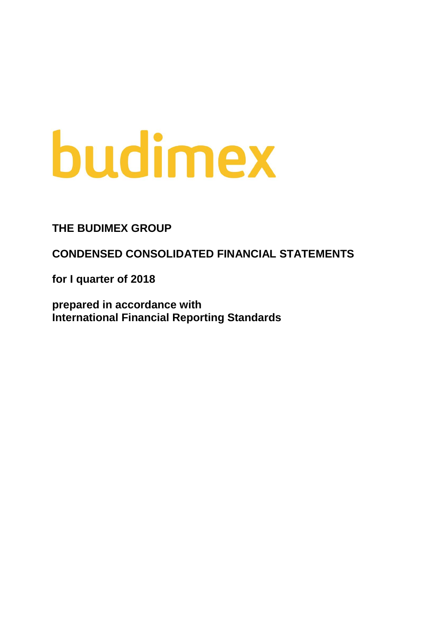# budimex

**THE BUDIMEX GROUP**

**CONDENSED CONSOLIDATED FINANCIAL STATEMENTS**

**for I quarter of 2018**

**prepared in accordance with International Financial Reporting Standards**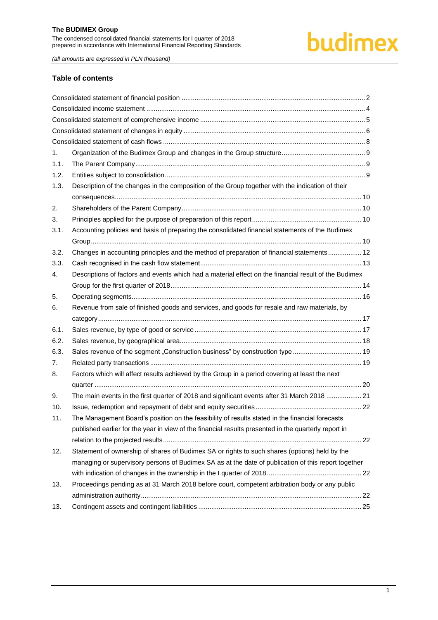# budimex

*(all amounts are expressed in PLN thousand)*

# **Table of contents**

| 1.   |                                                                                                       |  |
|------|-------------------------------------------------------------------------------------------------------|--|
| 1.1. |                                                                                                       |  |
| 1.2. |                                                                                                       |  |
| 1.3. | Description of the changes in the composition of the Group together with the indication of their      |  |
|      |                                                                                                       |  |
| 2.   |                                                                                                       |  |
| 3.   |                                                                                                       |  |
| 3.1. | Accounting policies and basis of preparing the consolidated financial statements of the Budimex       |  |
|      |                                                                                                       |  |
| 3.2. | Changes in accounting principles and the method of preparation of financial statements 12             |  |
| 3.3. |                                                                                                       |  |
| 4.   | Descriptions of factors and events which had a material effect on the financial result of the Budimex |  |
|      |                                                                                                       |  |
| 5.   |                                                                                                       |  |
| 6.   | Revenue from sale of finished goods and services, and goods for resale and raw materials, by          |  |
|      |                                                                                                       |  |
| 6.1. |                                                                                                       |  |
| 6.2. |                                                                                                       |  |
| 6.3. | Sales revenue of the segment "Construction business" by construction type  19                         |  |
| 7.   |                                                                                                       |  |
| 8.   | Factors which will affect results achieved by the Group in a period covering at least the next        |  |
|      |                                                                                                       |  |
| 9.   | The main events in the first quarter of 2018 and significant events after 31 March 2018  21           |  |
| 10.  |                                                                                                       |  |
| 11.  | The Management Board's position on the feasibility of results stated in the financial forecasts       |  |
|      | published earlier for the year in view of the financial results presented in the quarterly report in  |  |
|      |                                                                                                       |  |
| 12.  | Statement of ownership of shares of Budimex SA or rights to such shares (options) held by the         |  |
|      | managing or supervisory persons of Budimex SA as at the date of publication of this report together   |  |
|      |                                                                                                       |  |
| 13.  | Proceedings pending as at 31 March 2018 before court, competent arbitration body or any public        |  |
|      |                                                                                                       |  |
| 13.  |                                                                                                       |  |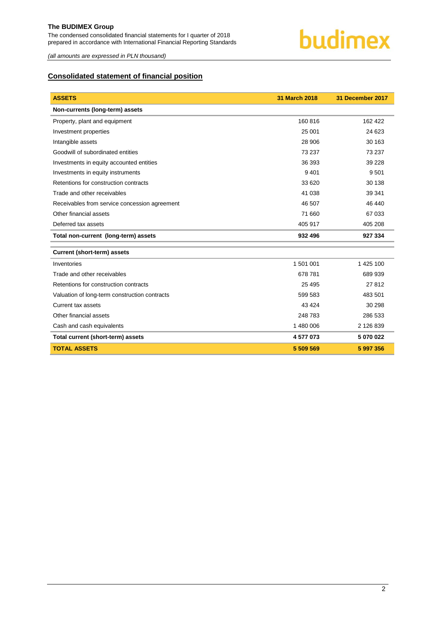

*(all amounts are expressed in PLN thousand)*

# <span id="page-2-0"></span>**Consolidated statement of financial position**

| <b>ASSETS</b>                                 | 31 March 2018 | 31 December 2017 |
|-----------------------------------------------|---------------|------------------|
| Non-currents (long-term) assets               |               |                  |
| Property, plant and equipment                 | 160 816       | 162 422          |
| Investment properties                         | 25 001        | 24 623           |
| Intangible assets                             | 28 906        | 30 163           |
| Goodwill of subordinated entities             | 73 237        | 73 237           |
| Investments in equity accounted entities      | 36 393        | 39 228           |
| Investments in equity instruments             | 9 4 0 1       | 9 5 0 1          |
| Retentions for construction contracts         | 33 620        | 30 138           |
| Trade and other receivables                   | 41 038        | 39 341           |
| Receivables from service concession agreement | 46 507        | 46 440           |
| Other financial assets                        | 71 660        | 67 033           |
| Deferred tax assets                           | 405 917       | 405 208          |
| Total non-current (long-term) assets          | 932 496       | 927 334          |
| <b>Current (short-term) assets</b>            |               |                  |
| Inventories                                   | 1 501 001     | 1 425 100        |
| Trade and other receivables                   | 678 781       | 689 939          |
| Retentions for construction contracts         | 25 4 95       | 27812            |
| Valuation of long-term construction contracts | 599 583       | 483 501          |
| Current tax assets                            | 43 4 24       | 30 298           |
| Other financial assets                        | 248 783       | 286 533          |
| Cash and cash equivalents                     | 1 480 006     | 2 126 839        |
| Total current (short-term) assets             | 4577073       | 5 070 022        |
| <b>TOTAL ASSETS</b>                           | 5 509 569     | 5 997 356        |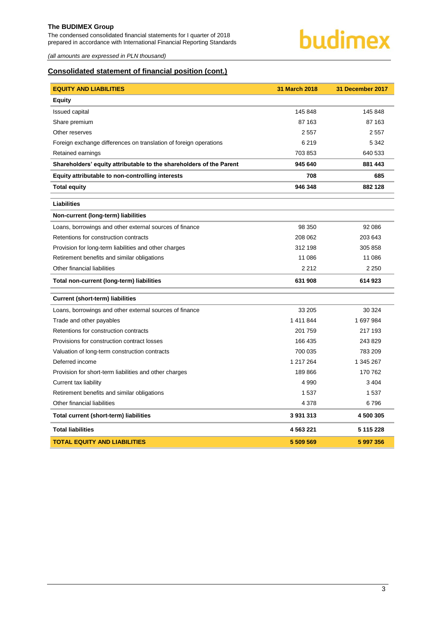The condensed consolidated financial statements for I quarter of 2018 prepared in accordance with International Financial Reporting Standards



*(all amounts are expressed in PLN thousand)*

# **Consolidated statement of financial position (cont.)**

| <b>EQUITY AND LIABILITIES</b>                                       | 31 March 2018 | 31 December 2017 |
|---------------------------------------------------------------------|---------------|------------------|
| <b>Equity</b>                                                       |               |                  |
| <b>Issued capital</b>                                               | 145 848       | 145 848          |
| Share premium                                                       | 87 163        | 87 163           |
| Other reserves                                                      | 2557          | 2557             |
| Foreign exchange differences on translation of foreign operations   | 6 2 1 9       | 5 3 4 2          |
| Retained earnings                                                   | 703 853       | 640 533          |
| Shareholders' equity attributable to the shareholders of the Parent | 945 640       | 881 443          |
| Equity attributable to non-controlling interests                    | 708           | 685              |
| <b>Total equity</b>                                                 | 946 348       | 882 128          |
| <b>Liabilities</b>                                                  |               |                  |
| Non-current (long-term) liabilities                                 |               |                  |
| Loans, borrowings and other external sources of finance             | 98 350        | 92 086           |
| Retentions for construction contracts                               | 208 062       | 203 643          |
| Provision for long-term liabilities and other charges               | 312 198       | 305 858          |
| Retirement benefits and similar obligations                         | 11 086        | 11 086           |
| Other financial liabilities                                         | 2 2 1 2       | 2 2 5 0          |
| Total non-current (long-term) liabilities                           | 631 908       | 614 923          |
| <b>Current (short-term) liabilities</b>                             |               |                  |
| Loans, borrowings and other external sources of finance             | 33 205        | 30 324           |
| Trade and other payables                                            | 1 411 844     | 1697984          |
| Retentions for construction contracts                               | 201 759       | 217 193          |
| Provisions for construction contract losses                         | 166 435       | 243 829          |
| Valuation of long-term construction contracts                       | 700 035       | 783 209          |
| Deferred income                                                     | 1 217 264     | 1 345 267        |
| Provision for short-term liabilities and other charges              | 189866        | 170 762          |
| Current tax liability                                               | 4 9 9 0       | 3 4 0 4          |
| Retirement benefits and similar obligations                         | 1537          | 1 5 3 7          |
| Other financial liabilities                                         | 4 3 7 8       | 6796             |
| Total current (short-term) liabilities                              | 3 931 313     | 4 500 305        |
| <b>Total liabilities</b>                                            | 4 563 221     | 5 115 228        |
| <b>TOTAL EQUITY AND LIABILITIES</b>                                 | 5 509 569     | 5 997 356        |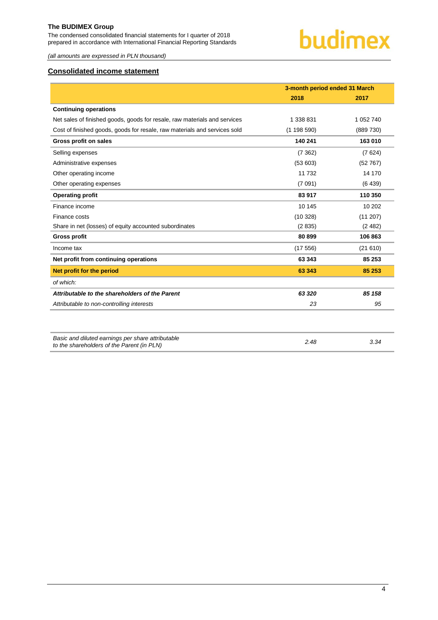The condensed consolidated financial statements for I quarter of 2018 prepared in accordance with International Financial Reporting Standards



*(all amounts are expressed in PLN thousand)*

# <span id="page-4-0"></span>**Consolidated income statement**

|                                                                                                 | 3-month period ended 31 March |           |
|-------------------------------------------------------------------------------------------------|-------------------------------|-----------|
|                                                                                                 | 2018                          | 2017      |
| <b>Continuing operations</b>                                                                    |                               |           |
| Net sales of finished goods, goods for resale, raw materials and services                       | 1 338 831                     | 1 052 740 |
| Cost of finished goods, goods for resale, raw materials and services sold                       | (1198590)                     | (889 730) |
| Gross profit on sales                                                                           | 140 241                       | 163 010   |
| Selling expenses                                                                                | (7362)                        | (7624)    |
| Administrative expenses                                                                         | (53603)                       | (52767)   |
| Other operating income                                                                          | 11 732                        | 14 170    |
| Other operating expenses                                                                        | (7091)                        | (6439)    |
| <b>Operating profit</b>                                                                         | 83 917                        | 110 350   |
| Finance income                                                                                  | 10 145                        | 10 202    |
| Finance costs                                                                                   | (10328)                       | (11 207)  |
| Share in net (losses) of equity accounted subordinates                                          | (2835)                        | (2482)    |
| <b>Gross profit</b>                                                                             | 80 899                        | 106 863   |
| Income tax                                                                                      | (17556)                       | (21610)   |
| Net profit from continuing operations                                                           | 63 343                        | 85 253    |
| Net profit for the period                                                                       | 63 343                        | 85 253    |
| of which:                                                                                       |                               |           |
| Attributable to the shareholders of the Parent                                                  | 63 320                        | 85 158    |
| Attributable to non-controlling interests                                                       | 23                            | 95        |
|                                                                                                 |                               |           |
|                                                                                                 |                               |           |
| Basic and diluted earnings per share attributable<br>to the shareholders of the Parent (in PLN) | 2.48                          | 3.34      |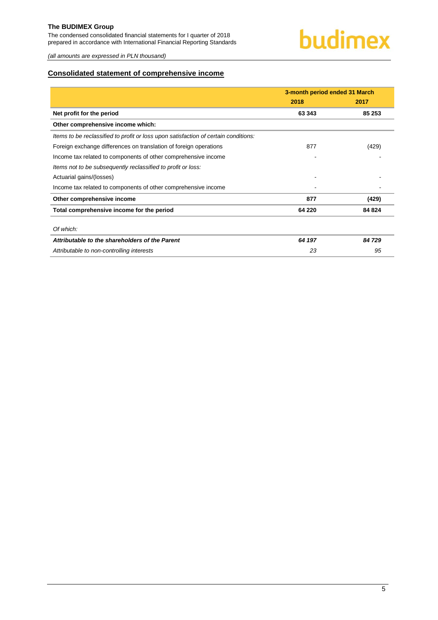The condensed consolidated financial statements for I quarter of 2018 prepared in accordance with International Financial Reporting Standards

*(all amounts are expressed in PLN thousand)*

# <span id="page-5-0"></span>**Consolidated statement of comprehensive income**

|                                                                                     | 3-month period ended 31 March |        |
|-------------------------------------------------------------------------------------|-------------------------------|--------|
|                                                                                     | 2018                          | 2017   |
| Net profit for the period                                                           | 63 343                        | 85 253 |
| Other comprehensive income which:                                                   |                               |        |
| Items to be reclassified to profit or loss upon satisfaction of certain conditions: |                               |        |
| Foreign exchange differences on translation of foreign operations                   | 877                           | (429)  |
| Income tax related to components of other comprehensive income                      |                               |        |
| Items not to be subsequently reclassified to profit or loss:                        |                               |        |
| Actuarial gains/(losses)                                                            |                               |        |
| Income tax related to components of other comprehensive income                      |                               |        |
| Other comprehensive income                                                          | 877                           | (429)  |
| Total comprehensive income for the period                                           | 64 220                        | 84 824 |
| Of which:                                                                           |                               |        |
| Attributable to the shareholders of the Parent                                      | 64 197                        | 84 729 |
| Attributable to non-controlling interests                                           | 23                            | 95     |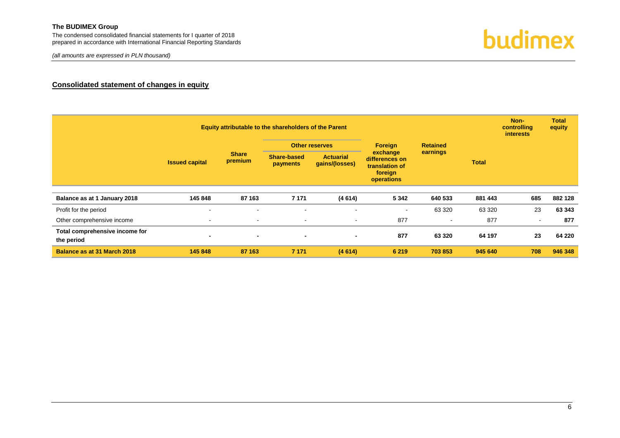The condensed consolidated financial statements for I quarter of 2018 prepared in accordance with International Financial Reporting Standards

*(all amounts are expressed in PLN thousand)*



# **Consolidated statement of changes in equity**

<span id="page-6-0"></span>

|                                              | Equity attributable to the shareholders of the Parent |                         |                                       |                                    |                                                                                   |                | controlling     |        | <b>Total</b><br>equity |  |
|----------------------------------------------|-------------------------------------------------------|-------------------------|---------------------------------------|------------------------------------|-----------------------------------------------------------------------------------|----------------|-----------------|--------|------------------------|--|
|                                              |                                                       |                         |                                       |                                    | <b>Other reserves</b>                                                             | <b>Foreign</b> | <b>Retained</b> |        |                        |  |
|                                              | <b>Issued capital</b>                                 | <b>Share</b><br>premium | <b>Share-based</b><br><b>payments</b> | <b>Actuarial</b><br>gains/(losses) | earnings<br>exchange<br>differences on<br>translation of<br>foreign<br>operations |                | <b>Total</b>    |        |                        |  |
| Balance as at 1 January 2018                 | 145 848                                               | 87 163                  | 7 1 7 1                               | (4614)                             | 5 3 4 2                                                                           | 640 533        | 881 443         | 685    | 882 128                |  |
| Profit for the period                        | $\blacksquare$                                        | $\blacksquare$          | $\sim$                                | ٠                                  | $\sim$                                                                            | 63 3 20        | 63 3 20         | 23     | 63 343                 |  |
| Other comprehensive income                   | $\blacksquare$                                        | $\blacksquare$          | $\overline{\phantom{a}}$              |                                    | 877                                                                               | $\sim$         | 877             | $\sim$ | 877                    |  |
| Total comprehensive income for<br>the period | $\blacksquare$                                        | $\blacksquare$          | $\blacksquare$                        | $\blacksquare$                     | 877                                                                               | 63 3 20        | 64 197          | 23     | 64 220                 |  |
| Balance as at 31 March 2018                  | 145 848                                               | 87 163                  | 7 1 7 1                               | (4614)                             | 6 2 1 9                                                                           | 703 853        | 945 640         | 708    | 946 348                |  |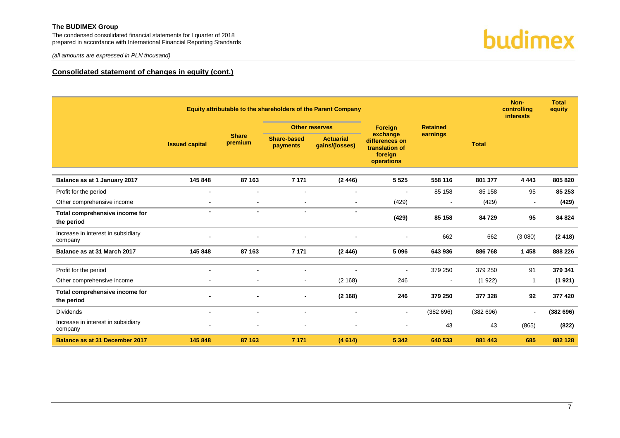The condensed consolidated financial statements for I quarter of 2018 prepared in accordance with International Financial Reporting Standards





# **Consolidated statement of changes in equity (cont.)**

|                                               | Equity attributable to the shareholders of the Parent Company |                                                                                                                                                                     |                |                       |                |                 |          | Non-<br>controlling<br><b>interests</b> | <b>Total</b><br>equity |
|-----------------------------------------------|---------------------------------------------------------------|---------------------------------------------------------------------------------------------------------------------------------------------------------------------|----------------|-----------------------|----------------|-----------------|----------|-----------------------------------------|------------------------|
|                                               |                                                               |                                                                                                                                                                     |                | <b>Other reserves</b> | <b>Foreign</b> | <b>Retained</b> |          |                                         |                        |
|                                               | <b>Issued capital</b>                                         | <b>Share</b><br><b>Share-based</b><br><b>Actuarial</b><br>differences on<br>premium<br>gains/(losses)<br><b>payments</b><br>translation of<br>foreign<br>operations |                | earnings<br>exchange  | <b>Total</b>   |                 |          |                                         |                        |
| Balance as at 1 January 2017                  | 145 848                                                       | 87 163                                                                                                                                                              | 7 1 7 1        | (2446)                | 5 5 2 5        | 558 116         | 801 377  | 4 4 4 3                                 | 805 820                |
| Profit for the period                         | $\overline{\phantom{a}}$                                      | $\blacksquare$                                                                                                                                                      |                | $\blacksquare$        | $\blacksquare$ | 85 158          | 85 158   | 95                                      | 85 253                 |
| Other comprehensive income                    | $\blacksquare$                                                | $\blacksquare$                                                                                                                                                      |                | $\blacksquare$        | (429)          | $\blacksquare$  | (429)    | $\blacksquare$                          | (429)                  |
| Total comprehensive income for<br>the period  | $\blacksquare$                                                | $\blacksquare$                                                                                                                                                      | $\blacksquare$ | $\blacksquare$        | (429)          | 85 158          | 84729    | 95                                      | 84 824                 |
| Increase in interest in subsidiary<br>company |                                                               |                                                                                                                                                                     |                |                       |                | 662             | 662      | (3080)                                  | (2418)                 |
| Balance as at 31 March 2017                   | 145 848                                                       | 87 163                                                                                                                                                              | 7 1 7 1        | (2446)                | 5 0 9 6        | 643 936         | 886 768  | 1458                                    | 888 226                |
| Profit for the period                         |                                                               |                                                                                                                                                                     |                |                       | L,             | 379 250         | 379 250  | 91                                      | 379 341                |
| Other comprehensive income                    |                                                               |                                                                                                                                                                     |                | (2 168)               | 246            |                 | (1922)   | -1                                      | (1921)                 |
| Total comprehensive income for<br>the period  | $\qquad \qquad \blacksquare$                                  |                                                                                                                                                                     |                | (2168)                | 246            | 379 250         | 377 328  | 92                                      | 377 420                |
| <b>Dividends</b>                              | $\overline{\phantom{a}}$                                      | $\blacksquare$                                                                                                                                                      |                | $\blacksquare$        | $\blacksquare$ | (382696)        | (382696) | $\blacksquare$                          | (382696)               |
| Increase in interest in subsidiary<br>company | $\overline{a}$                                                |                                                                                                                                                                     |                | $\blacksquare$        | ٠              | 43              | 43       | (865)                                   | (822)                  |
| <b>Balance as at 31 December 2017</b>         | 145 848                                                       | 87 163                                                                                                                                                              | 7 1 7 1        | (4614)                | 5 3 4 2        | 640 533         | 881 443  | 685                                     | 882 128                |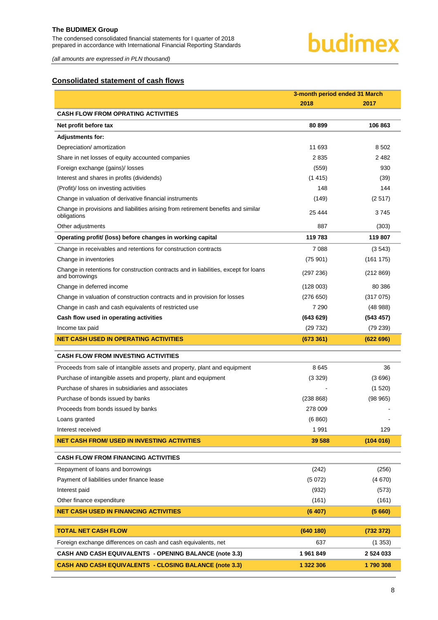The condensed consolidated financial statements for I quarter of 2018 prepared in accordance with International Financial Reporting Standards

# budimex

*(all amounts are expressed in PLN thousand)*

# <span id="page-8-0"></span>**Consolidated statement of cash flows**

|                                                                                                        | 3-month period ended 31 March |               |  |
|--------------------------------------------------------------------------------------------------------|-------------------------------|---------------|--|
|                                                                                                        | 2018                          | 2017          |  |
| CASH FLOW FROM OPRATING ACTIVITIES                                                                     |                               |               |  |
| Net profit before tax                                                                                  | 80 899                        | 106863        |  |
| <b>Adjustments for:</b>                                                                                |                               |               |  |
| Depreciation/ amortization                                                                             | 11 693                        | 8 5 0 2       |  |
| Share in net losses of equity accounted companies                                                      | 2835                          | 2482          |  |
| Foreign exchange (gains)/ losses                                                                       | (559)                         | 930           |  |
| Interest and shares in profits (dividends)                                                             | (1415)                        | (39)          |  |
| (Profit)/ loss on investing activities                                                                 | 148                           | 144           |  |
| Change in valuation of derivative financial instruments                                                | (149)                         | (2517)        |  |
| Change in provisions and liabilities arising from retirement benefits and similar<br>obligations       | 25 4 44                       | 3745          |  |
| Other adjustments                                                                                      | 887                           | (303)         |  |
| Operating profit/ (loss) before changes in working capital                                             | 119 783                       | 119 807       |  |
| Change in receivables and retentions for construction contracts                                        | 7088                          | (3543)        |  |
| Change in inventories                                                                                  | (75901)                       | (161175)      |  |
| Change in retentions for construction contracts and in liabilities, except for loans<br>and borrowings | (297 236)                     | (212 869)     |  |
| Change in deferred income                                                                              | (128003)                      | 80 386        |  |
| Change in valuation of construction contracts and in provision for losses                              | (276650)                      | (317075)      |  |
| Change in cash and cash equivalents of restricted use                                                  | 7 2 9 0                       | (48988)       |  |
| Cash flow used in operating activities                                                                 | (643629)                      | (543 457)     |  |
| Income tax paid                                                                                        | (29732)                       | (79 239)      |  |
| NET CASH USED IN OPERATING ACTIVITIES                                                                  | (673 361)                     | (622696)      |  |
| <b>CASH FLOW FROM INVESTING ACTIVITIES</b>                                                             |                               |               |  |
| Proceeds from sale of intangible assets and property, plant and equipment                              | 8645                          | 36            |  |
| Purchase of intangible assets and property, plant and equipment                                        | (3329)                        | (3696)        |  |
| Purchase of shares in subsidiaries and associates                                                      |                               | (1520)        |  |
| Purchase of bonds issued by banks                                                                      | (238 868)                     | (98965)       |  |
| Proceeds from bonds issued by banks                                                                    | 278 009                       |               |  |
| Loans granted                                                                                          | (6860)                        |               |  |
| Interest received                                                                                      | 1991                          | 129           |  |
| NET CASH FROM/ USED IN INVESTING ACTIVITIES                                                            | 39 588                        | (104016)      |  |
| <b>CASH FLOW FROM FINANCING ACTIVITIES</b>                                                             |                               |               |  |
| Repayment of loans and borrowings                                                                      | (242)                         | (256)         |  |
| Payment of liabilities under finance lease                                                             | (5072)                        | (4670)        |  |
| Interest paid                                                                                          | (932)                         | (573)         |  |
| Other finance expenditure                                                                              | (161)                         | (161)         |  |
| <b>NET CASH USED IN FINANCING ACTIVITIES</b>                                                           | (6 407)                       | (5660)        |  |
| <b>TOTAL NET CASH FLOW</b>                                                                             | (640 180)                     | (732 372)     |  |
| Foreign exchange differences on cash and cash equivalents, net                                         | 637                           | (1353)        |  |
| <b>CASH AND CASH EQUIVALENTS - OPENING BALANCE (note 3.3)</b>                                          | 1961849                       | 2 5 2 4 0 3 3 |  |
| <b>CASH AND CASH EQUIVALENTS - CLOSING BALANCE (note 3.3)</b>                                          | 1 322 306                     | 1790308       |  |
|                                                                                                        |                               |               |  |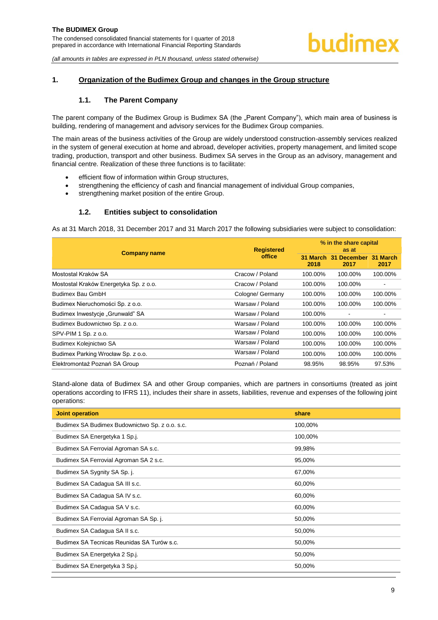# <span id="page-9-1"></span><span id="page-9-0"></span>**1. Organization of the Budimex Group and changes in the Group structure**

# **1.1. The Parent Company**

The parent company of the Budimex Group is Budimex SA (the "Parent Company"), which main area of business is building, rendering of management and advisory services for the Budimex Group companies.

The main areas of the business activities of the Group are widely understood construction-assembly services realized in the system of general execution at home and abroad, developer activities, property management, and limited scope trading, production, transport and other business. Budimex SA serves in the Group as an advisory, management and financial centre. Realization of these three functions is to facilitate:

- efficient flow of information within Group structures,
- strengthening the efficiency of cash and financial management of individual Group companies,
- strengthening market position of the entire Group.

# **1.2. Entities subject to consolidation**

<span id="page-9-2"></span>As at 31 March 2018, 31 December 2017 and 31 March 2017 the following subsidiaries were subject to consolidation:

|                                        | <b>Registered</b> | % in the share capital<br>as at |                         |                          |
|----------------------------------------|-------------------|---------------------------------|-------------------------|--------------------------|
| <b>Company name</b>                    | office            | <b>31 March 31</b><br>2018      | <b>December</b><br>2017 | 31 March<br>2017         |
| Mostostal Kraków SA                    | Cracow / Poland   | 100.00%                         | 100.00%                 | 100.00%                  |
| Mostostal Kraków Energetyka Sp. z o.o. | Cracow / Poland   | 100.00%                         | 100.00%                 |                          |
| Budimex Bau GmbH                       | Cologne/ Germany  | 100.00%                         | 100.00%                 | 100.00%                  |
| Budimex Nieruchomości Sp. z o.o.       | Warsaw / Poland   | 100.00%                         | 100.00%                 | 100.00%                  |
| Budimex Inwestycje "Grunwald" SA       | Warsaw / Poland   | 100.00%                         |                         | $\overline{\phantom{a}}$ |
| Budimex Budownictwo Sp. z o.o.         | Warsaw / Poland   | 100.00%                         | 100.00%                 | 100.00%                  |
| SPV-PIM 1 Sp. z o.o.                   | Warsaw / Poland   | 100.00%                         | 100.00%                 | 100.00%                  |
| Budimex Kolejnictwo SA                 | Warsaw / Poland   | 100.00%                         | 100.00%                 | 100.00%                  |
| Budimex Parking Wrocław Sp. z o.o.     | Warsaw / Poland   | 100.00%                         | 100.00%                 | 100.00%                  |
| Elektromontaż Poznań SA Group          | Poznań / Poland   | 98.95%                          | 98.95%                  | 97.53%                   |

Stand-alone data of Budimex SA and other Group companies, which are partners in consortiums (treated as joint operations according to IFRS 11), includes their share in assets, liabilities, revenue and expenses of the following joint operations:

| <b>Joint operation</b>                         | share   |
|------------------------------------------------|---------|
| Budimex SA Budimex Budownictwo Sp. z o.o. s.c. | 100,00% |
| Budimex SA Energetyka 1 Sp.j.                  | 100,00% |
| Budimex SA Ferrovial Agroman SA s.c.           | 99,98%  |
| Budimex SA Ferrovial Agroman SA 2 s.c.         | 95,00%  |
| Budimex SA Sygnity SA Sp. j.                   | 67,00%  |
| Budimex SA Cadagua SA III s.c.                 | 60,00%  |
| Budimex SA Cadagua SA IV s.c.                  | 60,00%  |
| Budimex SA Cadagua SA V s.c.                   | 60,00%  |
| Budimex SA Ferrovial Agroman SA Sp. j.         | 50,00%  |
| Budimex SA Cadagua SA II s.c.                  | 50,00%  |
| Budimex SA Tecnicas Reunidas SA Turów s.c.     | 50,00%  |
| Budimex SA Energetyka 2 Sp.j.                  | 50,00%  |
| Budimex SA Energetyka 3 Sp.j.                  | 50,00%  |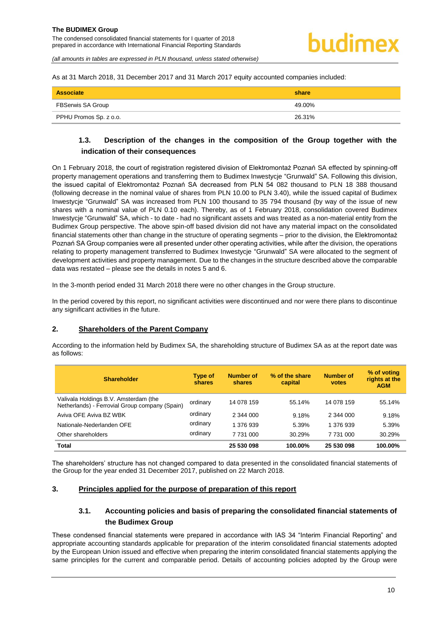<span id="page-10-0"></span>As at 31 March 2018, 31 December 2017 and 31 March 2017 equity accounted companies included:

| Associate              | share  |
|------------------------|--------|
| FBSerwis SA Group      | 49.00% |
| PPHU Promos Sp. z o.o. | 26.31% |

# **1.3. Description of the changes in the composition of the Group together with the indication of their consequences**

On 1 February 2018, the court of registration registered division of Elektromontaż Poznań SA effected by spinning-off property management operations and transferring them to Budimex Inwestycje "Grunwald" SA. Following this division, the issued capital of Elektromontaż Poznań SA decreased from PLN 54 082 thousand to PLN 18 388 thousand (following decrease in the nominal value of shares from PLN 10.00 to PLN 3.40), while the issued capital of Budimex Inwestycje "Grunwald" SA was increased from PLN 100 thousand to 35 794 thousand (by way of the issue of new shares with a nominal value of PLN 0.10 each). Thereby, as of 1 February 2018, consolidation covered Budimex Inwestycje "Grunwald" SA, which - to date - had no significant assets and was treated as a non-material entity from the Budimex Group perspective. The above spin-off based division did not have any material impact on the consolidated financial statements other than change in the structure of operating segments – prior to the division, the Elektromontaż Poznań SA Group companies were all presented under other operating activities, while after the division, the operations relating to property management transferred to Budimex Inwestycje "Grunwald" SA were allocated to the segment of development activities and property management. Due to the changes in the structure described above the comparable data was restated – please see the details in notes 5 and 6.

In the 3-month period ended 31 March 2018 there were no other changes in the Group structure.

In the period covered by this report, no significant activities were discontinued and nor were there plans to discontinue any significant activities in the future.

#### <span id="page-10-1"></span>**2. Shareholders of the Parent Company**

According to the information held by Budimex SA, the shareholding structure of Budimex SA as at the report date was as follows:

| <b>Shareholder</b>                                                                      | Type of<br>shares | <b>Number of</b><br>shares | % of the share<br>capital | <b>Number of</b><br>votes | % of voting<br>rights at the<br><b>AGM</b> |
|-----------------------------------------------------------------------------------------|-------------------|----------------------------|---------------------------|---------------------------|--------------------------------------------|
| Valivala Holdings B.V. Amsterdam (the<br>Netherlands) - Ferrovial Group company (Spain) | ordinary          | 14 078 159                 | 55.14%                    | 14 078 159                | 55.14%                                     |
| Aviva OFE Aviva BZ WBK                                                                  | ordinary          | 2 344 000                  | 9.18%                     | 2 344 000                 | 9.18%                                      |
| Nationale-Nederlanden OFE                                                               | ordinary          | 1 376 939                  | 5.39%                     | 1 376 939                 | 5.39%                                      |
| Other shareholders                                                                      | ordinary          | 7 731 000                  | 30.29%                    | 7 731 000                 | 30.29%                                     |
| <b>Total</b>                                                                            |                   | 25 530 098                 | 100.00%                   | 25 530 098                | 100.00%                                    |

The shareholders' structure has not changed compared to data presented in the consolidated financial statements of the Group for the year ended 31 December 2017, published on 22 March 2018.

#### <span id="page-10-3"></span><span id="page-10-2"></span>**3. Principles applied for the purpose of preparation of this report**

# **3.1. Accounting policies and basis of preparing the consolidated financial statements of the Budimex Group**

These condensed financial statements were prepared in accordance with IAS 34 "Interim Financial Reporting" and appropriate accounting standards applicable for preparation of the interim consolidated financial statements adopted by the European Union issued and effective when preparing the interim consolidated financial statements applying the same principles for the current and comparable period. Details of accounting policies adopted by the Group were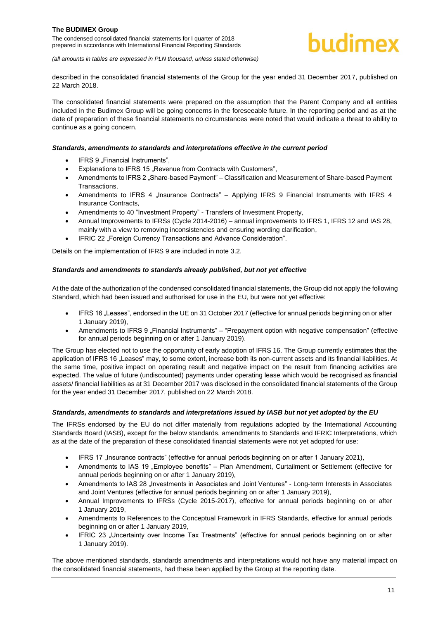described in the consolidated financial statements of the Group for the year ended 31 December 2017, published on 22 March 2018.

The consolidated financial statements were prepared on the assumption that the Parent Company and all entities included in the Budimex Group will be going concerns in the foreseeable future. In the reporting period and as at the date of preparation of these financial statements no circumstances were noted that would indicate a threat to ability to continue as a going concern.

#### *Standards, amendments to standards and interpretations effective in the current period*

- IFRS 9 .Financial Instruments".
- Explanations to IFRS 15 "Revenue from Contracts with Customers",
- Amendments to IFRS 2 . Share-based Payment" Classification and Measurement of Share-based Payment Transactions,
- Amendments to IFRS 4 "Insurance Contracts" Applying IFRS 9 Financial Instruments with IFRS 4 Insurance Contracts,
- Amendments to 40 "Investment Property" Transfers of Investment Property,
- Annual Improvements to IFRSs (Cycle 2014-2016) annual improvements to IFRS 1, IFRS 12 and IAS 28, mainly with a view to removing inconsistencies and ensuring wording clarification,
- IFRIC 22 "Foreign Currency Transactions and Advance Consideration".

Details on the implementation of IFRS 9 are included in note [3.2.](#page-12-0)

#### *Standards and amendments to standards already published, but not yet effective*

At the date of the authorization of the condensed consolidated financial statements, the Group did not apply the following Standard, which had been issued and authorised for use in the EU, but were not yet effective:

- IFRS 16 "Leases", endorsed in the UE on 31 October 2017 (effective for annual periods beginning on or after 1 January 2019),
- Amendments to IFRS 9 .Financial Instruments" "Prepayment option with negative compensation" (effective for annual periods beginning on or after 1 January 2019).

The Group has elected not to use the opportunity of early adoption of IFRS 16. The Group currently estimates that the application of IFRS 16 "Leases" may, to some extent, increase both its non-current assets and its financial liabilities. At the same time, positive impact on operating result and negative impact on the result from financing activities are expected. The value of future (undiscounted) payments under operating lease which would be recognised as financial assets/ financial liabilities as at 31 December 2017 was disclosed in the consolidated financial statements of the Group for the year ended 31 December 2017, published on 22 March 2018.

#### *Standards, amendments to standards and interpretations issued by IASB but not yet adopted by the EU*

The IFRSs endorsed by the EU do not differ materially from regulations adopted by the International Accounting Standards Board (IASB), except for the below standards, amendments to Standards and IFRIC Interpretations, which as at the date of the preparation of these consolidated financial statements were not yet adopted for use:

- IFRS 17 "Insurance contracts" (effective for annual periods beginning on or after 1 January 2021),
- Amendments to IAS 19 "Employee benefits" Plan Amendment, Curtailment or Settlement (effective for annual periods beginning on or after 1 January 2019),
- Amendments to IAS 28 "Investments in Associates and Joint Ventures" Long-term Interests in Associates and Joint Ventures (effective for annual periods beginning on or after 1 January 2019),
- Annual Improvements to IFRSs (Cycle 2015-2017), effective for annual periods beginning on or after 1 January 2019,
- Amendments to References to the Conceptual Framework in IFRS Standards, effective for annual periods beginning on or after 1 January 2019,
- IFRIC 23 "Uncertainty over Income Tax Treatments" (effective for annual periods beginning on or after 1 January 2019).

The above mentioned standards, standards amendments and interpretations would not have any material impact on the consolidated financial statements, had these been applied by the Group at the reporting date.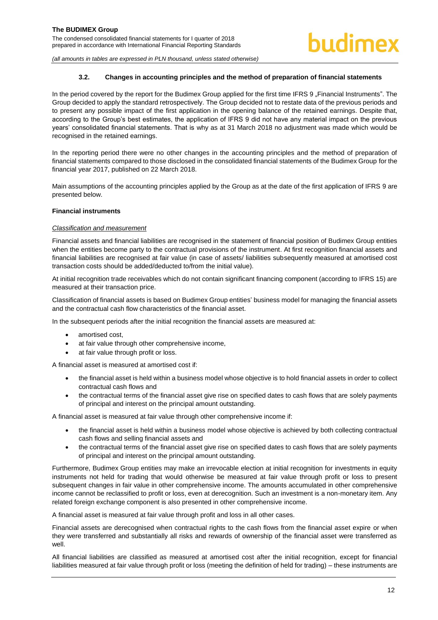#### **3.2. Changes in accounting principles and the method of preparation of financial statements**

<span id="page-12-0"></span>In the period covered by the report for the Budimex Group applied for the first time IFRS 9 "Financial Instruments". The Group decided to apply the standard retrospectively. The Group decided not to restate data of the previous periods and to present any possible impact of the first application in the opening balance of the retained earnings. Despite that, according to the Group's best estimates, the application of IFRS 9 did not have any material impact on the previous years' consolidated financial statements. That is why as at 31 March 2018 no adjustment was made which would be recognised in the retained earnings.

In the reporting period there were no other changes in the accounting principles and the method of preparation of financial statements compared to those disclosed in the consolidated financial statements of the Budimex Group for the financial year 2017, published on 22 March 2018.

Main assumptions of the accounting principles applied by the Group as at the date of the first application of IFRS 9 are presented below.

#### **Financial instruments**

#### *Classification and measurement*

Financial assets and financial liabilities are recognised in the statement of financial position of Budimex Group entities when the entities become party to the contractual provisions of the instrument. At first recognition financial assets and financial liabilities are recognised at fair value (in case of assets/ liabilities subsequently measured at amortised cost transaction costs should be added/deducted to/from the initial value).

At initial recognition trade receivables which do not contain significant financing component (according to IFRS 15) are measured at their transaction price.

Classification of financial assets is based on Budimex Group entities' business model for managing the financial assets and the contractual cash flow characteristics of the financial asset.

In the subsequent periods after the initial recognition the financial assets are measured at:

- amortised cost,
- at fair value through other comprehensive income,
- at fair value through profit or loss.

A financial asset is measured at amortised cost if:

- the financial asset is held within a business model whose objective is to hold financial assets in order to collect contractual cash flows and
- the contractual terms of the financial asset give rise on specified dates to cash flows that are solely payments of principal and interest on the principal amount outstanding.

A financial asset is measured at fair value through other comprehensive income if:

- the financial asset is held within a business model whose objective is achieved by both collecting contractual cash flows and selling financial assets and
- the contractual terms of the financial asset give rise on specified dates to cash flows that are solely payments of principal and interest on the principal amount outstanding.

Furthermore, Budimex Group entities may make an irrevocable election at initial recognition for investments in equity instruments not held for trading that would otherwise be measured at fair value through profit or loss to present subsequent changes in fair value in other comprehensive income. The amounts accumulated in other comprehensive income cannot be reclassified to profit or loss, even at derecognition. Such an investment is a non-monetary item. Any related foreign exchange component is also presented in other comprehensive income.

A financial asset is measured at fair value through profit and loss in all other cases.

Financial assets are derecognised when contractual rights to the cash flows from the financial asset expire or when they were transferred and substantially all risks and rewards of ownership of the financial asset were transferred as well.

All financial liabilities are classified as measured at amortised cost after the initial recognition, except for financial liabilities measured at fair value through profit or loss (meeting the definition of held for trading) – these instruments are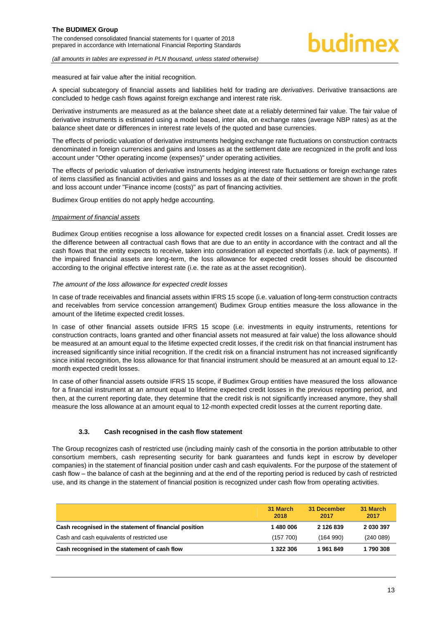measured at fair value after the initial recognition.

A special subcategory of financial assets and liabilities held for trading are *derivatives*. Derivative transactions are concluded to hedge cash flows against foreign exchange and interest rate risk.

Derivative instruments are measured as at the balance sheet date at a reliably determined fair value. The fair value of derivative instruments is estimated using a model based, inter alia, on exchange rates (average NBP rates) as at the balance sheet date or differences in interest rate levels of the quoted and base currencies.

The effects of periodic valuation of derivative instruments hedging exchange rate fluctuations on construction contracts denominated in foreign currencies and gains and losses as at the settlement date are recognized in the profit and loss account under "Other operating income (expenses)" under operating activities.

The effects of periodic valuation of derivative instruments hedging interest rate fluctuations or foreign exchange rates of items classified as financial activities and gains and losses as at the date of their settlement are shown in the profit and loss account under "Finance income (costs)" as part of financing activities.

Budimex Group entities do not apply hedge accounting.

#### *Impairment of financial assets*

Budimex Group entities recognise a loss allowance for expected credit losses on a financial asset. Credit losses are the difference between all contractual cash flows that are due to an entity in accordance with the contract and all the cash flows that the entity expects to receive, taken into consideration all expected shortfalls (i.e. lack of payments). If the impaired financial assets are long-term, the loss allowance for expected credit losses should be discounted according to the original effective interest rate (i.e. the rate as at the asset recognition).

#### *The amount of the loss allowance for expected credit losses*

In case of trade receivables and financial assets within IFRS 15 scope (i.e. valuation of long-term construction contracts and receivables from service concession arrangement) Budimex Group entities measure the loss allowance in the amount of the lifetime expected credit losses.

In case of other financial assets outside IFRS 15 scope (i.e. investments in equity instruments, retentions for construction contracts, loans granted and other financial assets not measured at fair value) the loss allowance should be measured at an amount equal to the lifetime expected credit losses, if the credit risk on that financial instrument has increased significantly since initial recognition. If the credit risk on a financial instrument has not increased significantly since initial recognition, the loss allowance for that financial instrument should be measured at an amount equal to 12 month expected credit losses.

In case of other financial assets outside IFRS 15 scope, if Budimex Group entities have measured the loss allowance for a financial instrument at an amount equal to lifetime expected credit losses in the previous reporting period, and then, at the current reporting date, they determine that the credit risk is not significantly increased anymore, they shall measure the loss allowance at an amount equal to 12-month expected credit losses at the current reporting date.

#### **3.3. Cash recognised in the cash flow statement**

<span id="page-13-0"></span>The Group recognizes cash of restricted use (including mainly cash of the consortia in the portion attributable to other consortium members, cash representing security for bank guarantees and funds kept in escrow by developer companies) in the statement of financial position under cash and cash equivalents. For the purpose of the statement of cash flow – the balance of cash at the beginning and at the end of the reporting period is reduced by cash of restricted use, and its change in the statement of financial position is recognized under cash flow from operating activities.

|                                                        | 31 March<br>2018 | 31 December<br>2017 | 31 March<br>2017 |
|--------------------------------------------------------|------------------|---------------------|------------------|
| Cash recognised in the statement of financial position | 1480006          | 2 126 839           | 2 030 397        |
| Cash and cash equivalents of restricted use            | (157, 700)       | (164990)            | (240089)         |
| Cash recognised in the statement of cash flow          | 1 322 306        | 1961849             | 1790308          |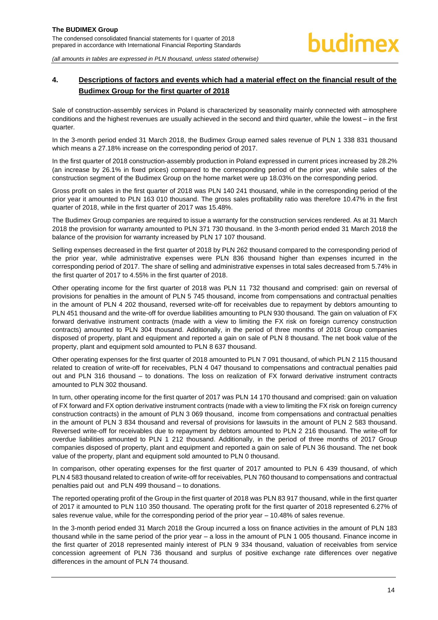# <span id="page-14-0"></span>**4. Descriptions of factors and events which had a material effect on the financial result of the Budimex Group for the first quarter of 2018**

Sale of construction-assembly services in Poland is characterized by seasonality mainly connected with atmosphere conditions and the highest revenues are usually achieved in the second and third quarter, while the lowest – in the first quarter.

In the 3-month period ended 31 March 2018, the Budimex Group earned sales revenue of PLN 1 338 831 thousand which means a 27.18% increase on the corresponding period of 2017.

In the first quarter of 2018 construction-assembly production in Poland expressed in current prices increased by 28.2% (an increase by 26.1% in fixed prices) compared to the corresponding period of the prior year, while sales of the construction segment of the Budimex Group on the home market were up 18.03% on the corresponding period.

Gross profit on sales in the first quarter of 2018 was PLN 140 241 thousand, while in the corresponding period of the prior year it amounted to PLN 163 010 thousand. The gross sales profitability ratio was therefore 10.47% in the first quarter of 2018, while in the first quarter of 2017 was 15.48%.

The Budimex Group companies are required to issue a warranty for the construction services rendered. As at 31 March 2018 the provision for warranty amounted to PLN 371 730 thousand. In the 3-month period ended 31 March 2018 the balance of the provision for warranty increased by PLN 17 107 thousand.

Selling expenses decreased in the first quarter of 2018 by PLN 262 thousand compared to the corresponding period of the prior year, while administrative expenses were PLN 836 thousand higher than expenses incurred in the corresponding period of 2017. The share of selling and administrative expenses in total sales decreased from 5.74% in the first quarter of 2017 to 4.55% in the first quarter of 2018.

Other operating income for the first quarter of 2018 was PLN 11 732 thousand and comprised: gain on reversal of provisions for penalties in the amount of PLN 5 745 thousand, income from compensations and contractual penalties in the amount of PLN 4 202 thousand, reversed write-off for receivables due to repayment by debtors amounting to PLN 451 thousand and the write-off for overdue liabilities amounting to PLN 930 thousand. The gain on valuation of FX forward derivative instrument contracts (made with a view to limiting the FX risk on foreign currency construction contracts) amounted to PLN 304 thousand. Additionally, in the period of three months of 2018 Group companies disposed of property, plant and equipment and reported a gain on sale of PLN 8 thousand. The net book value of the property, plant and equipment sold amounted to PLN 8 637 thousand.

Other operating expenses for the first quarter of 2018 amounted to PLN 7 091 thousand, of which PLN 2 115 thousand related to creation of write-off for receivables, PLN 4 047 thousand to compensations and contractual penalties paid out and PLN 316 thousand – to donations. The loss on realization of FX forward derivative instrument contracts amounted to PLN 302 thousand.

In turn, other operating income for the first quarter of 2017 was PLN 14 170 thousand and comprised: gain on valuation of FX forward and FX option derivative instrument contracts (made with a view to limiting the FX risk on foreign currency construction contracts) in the amount of PLN 3 069 thousand, income from compensations and contractual penalties in the amount of PLN 3 834 thousand and reversal of provisions for lawsuits in the amount of PLN 2 583 thousand. Reversed write-off for receivables due to repayment by debtors amounted to PLN 2 216 thousand. The write-off for overdue liabilities amounted to PLN 1 212 thousand. Additionally, in the period of three months of 2017 Group companies disposed of property, plant and equipment and reported a gain on sale of PLN 36 thousand. The net book value of the property, plant and equipment sold amounted to PLN 0 thousand.

In comparison, other operating expenses for the first quarter of 2017 amounted to PLN 6 439 thousand, of which PLN 4 583 thousand related to creation of write-off for receivables, PLN 760 thousand to compensations and contractual penalties paid out and PLN 499 thousand – to donations.

The reported operating profit of the Group in the first quarter of 2018 was PLN 83 917 thousand, while in the first quarter of 2017 it amounted to PLN 110 350 thousand. The operating profit for the first quarter of 2018 represented 6.27% of sales revenue value, while for the corresponding period of the prior year – 10.48% of sales revenue.

In the 3-month period ended 31 March 2018 the Group incurred a loss on finance activities in the amount of PLN 183 thousand while in the same period of the prior year – a loss in the amount of PLN 1 005 thousand. Finance income in the first quarter of 2018 represented mainly interest of PLN 9 334 thousand, valuation of receivables from service concession agreement of PLN 736 thousand and surplus of positive exchange rate differences over negative differences in the amount of PLN 74 thousand.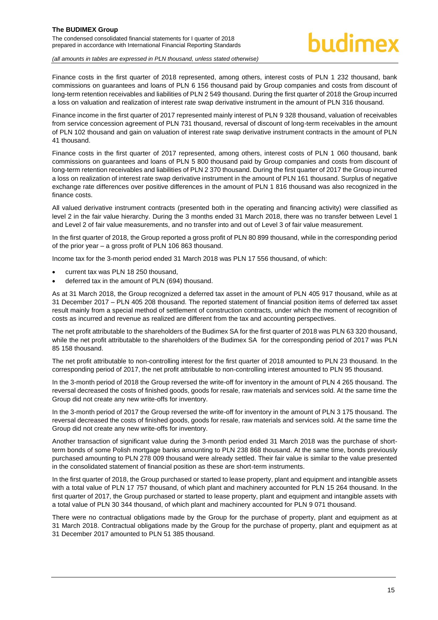# hudimex

*(all amounts in tables are expressed in PLN thousand, unless stated otherwise)*

Finance costs in the first quarter of 2018 represented, among others, interest costs of PLN 1 232 thousand, bank commissions on guarantees and loans of PLN 6 156 thousand paid by Group companies and costs from discount of long-term retention receivables and liabilities of PLN 2 549 thousand. During the first quarter of 2018 the Group incurred a loss on valuation and realization of interest rate swap derivative instrument in the amount of PLN 316 thousand.

Finance income in the first quarter of 2017 represented mainly interest of PLN 9 328 thousand, valuation of receivables from service concession agreement of PLN 731 thousand, reversal of discount of long-term receivables in the amount of PLN 102 thousand and gain on valuation of interest rate swap derivative instrument contracts in the amount of PLN 41 thousand.

Finance costs in the first quarter of 2017 represented, among others, interest costs of PLN 1 060 thousand, bank commissions on guarantees and loans of PLN 5 800 thousand paid by Group companies and costs from discount of long-term retention receivables and liabilities of PLN 2 370 thousand. During the first quarter of 2017 the Group incurred a loss on realization of interest rate swap derivative instrument in the amount of PLN 161 thousand. Surplus of negative exchange rate differences over positive differences in the amount of PLN 1 816 thousand was also recognized in the finance costs.

All valued derivative instrument contracts (presented both in the operating and financing activity) were classified as level 2 in the fair value hierarchy. During the 3 months ended 31 March 2018, there was no transfer between Level 1 and Level 2 of fair value measurements, and no transfer into and out of Level 3 of fair value measurement.

In the first quarter of 2018, the Group reported a gross profit of PLN 80 899 thousand, while in the corresponding period of the prior year – a gross profit of PLN 106 863 thousand.

Income tax for the 3-month period ended 31 March 2018 was PLN 17 556 thousand, of which:

- current tax was PLN 18 250 thousand,
- deferred tax in the amount of PLN (694) thousand.

As at 31 March 2018, the Group recognized a deferred tax asset in the amount of PLN 405 917 thousand, while as at 31 December 2017 – PLN 405 208 thousand. The reported statement of financial position items of deferred tax asset result mainly from a special method of settlement of construction contracts, under which the moment of recognition of costs as incurred and revenue as realized are different from the tax and accounting perspectives.

The net profit attributable to the shareholders of the Budimex SA for the first quarter of 2018 was PLN 63 320 thousand, while the net profit attributable to the shareholders of the Budimex SA for the corresponding period of 2017 was PLN 85 158 thousand.

The net profit attributable to non-controlling interest for the first quarter of 2018 amounted to PLN 23 thousand. In the corresponding period of 2017, the net profit attributable to non-controlling interest amounted to PLN 95 thousand.

In the 3-month period of 2018 the Group reversed the write-off for inventory in the amount of PLN 4 265 thousand. The reversal decreased the costs of finished goods, goods for resale, raw materials and services sold. At the same time the Group did not create any new write-offs for inventory.

In the 3-month period of 2017 the Group reversed the write-off for inventory in the amount of PLN 3 175 thousand. The reversal decreased the costs of finished goods, goods for resale, raw materials and services sold. At the same time the Group did not create any new write-offs for inventory.

Another transaction of significant value during the 3-month period ended 31 March 2018 was the purchase of shortterm bonds of some Polish mortgage banks amounting to PLN 238 868 thousand. At the same time, bonds previously purchased amounting to PLN 278 009 thousand were already settled. Their fair value is similar to the value presented in the consolidated statement of financial position as these are short-term instruments.

In the first quarter of 2018, the Group purchased or started to lease property, plant and equipment and intangible assets with a total value of PLN 17 757 thousand, of which plant and machinery accounted for PLN 15 264 thousand. In the first quarter of 2017, the Group purchased or started to lease property, plant and equipment and intangible assets with a total value of PLN 30 344 thousand, of which plant and machinery accounted for PLN 9 071 thousand.

There were no contractual obligations made by the Group for the purchase of property, plant and equipment as at 31 March 2018. Contractual obligations made by the Group for the purchase of property, plant and equipment as at 31 December 2017 amounted to PLN 51 385 thousand.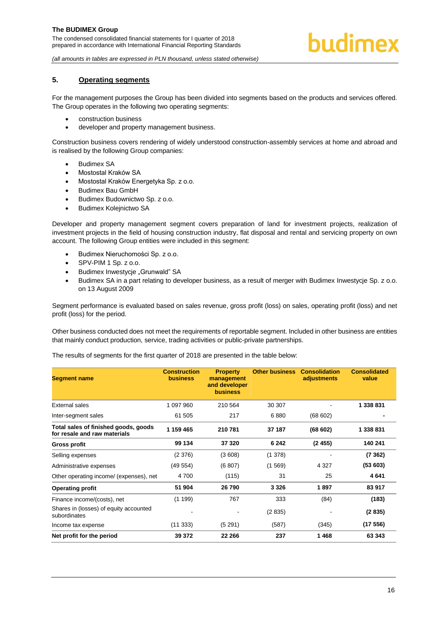# <span id="page-16-0"></span>**5. Operating segments**

For the management purposes the Group has been divided into segments based on the products and services offered. The Group operates in the following two operating segments:

- construction business
- developer and property management business.

Construction business covers rendering of widely understood construction-assembly services at home and abroad and is realised by the following Group companies:

- Budimex SA
- Mostostal Kraków SA
- Mostostal Kraków Energetyka Sp. z o.o.
- Budimex Bau GmbH
- Budimex Budownictwo Sp. z o.o.
- Budimex Kolejnictwo SA

Developer and property management segment covers preparation of land for investment projects, realization of investment projects in the field of housing construction industry, flat disposal and rental and servicing property on own account. The following Group entities were included in this segment:

- Budimex Nieruchomości Sp. z o.o.
- $\bullet$  SPV-PIM 1 Sp. z o.o.
- Budimex Inwestycie "Grunwald" SA
- Budimex SA in a part relating to developer business, as a result of merger with Budimex Inwestycje Sp. z o.o. on 13 August 2009

Segment performance is evaluated based on sales revenue, gross profit (loss) on sales, operating profit (loss) and net profit (loss) for the period.

Other business conducted does not meet the requirements of reportable segment. Included in other business are entities that mainly conduct production, service, trading activities or public-private partnerships.

The results of segments for the first quarter of 2018 are presented in the table below:

| <b>Segment name</b>                                                  | <b>Construction</b><br><b>business</b> | <b>Property</b><br>management<br>and developer<br><b>business</b> | <b>Other business</b> | <b>Consolidation</b><br>adjustments | <b>Consolidated</b><br>value |
|----------------------------------------------------------------------|----------------------------------------|-------------------------------------------------------------------|-----------------------|-------------------------------------|------------------------------|
| External sales                                                       | 1 097 960                              | 210 564                                                           | 30 30 7               |                                     | 1 338 831                    |
| Inter-segment sales                                                  | 61 505                                 | 217                                                               | 6880                  | (68602)                             |                              |
| Total sales of finished goods, goods<br>for resale and raw materials | 1 159 465                              | 210 781                                                           | 37 187                | (68602)                             | 1 338 831                    |
| Gross profit                                                         | 99 134                                 | 37 320                                                            | 6 2 4 2               | (2455)                              | 140 241                      |
| Selling expenses                                                     | (2376)                                 | (3608)                                                            | (1378)                |                                     | (7362)                       |
| Administrative expenses                                              | (49554)                                | (6807)                                                            | (1569)                | 4 3 2 7                             | (53603)                      |
| Other operating income/ (expenses), net                              | 4700                                   | (115)                                                             | 31                    | 25                                  | 4641                         |
| <b>Operating profit</b>                                              | 51 904                                 | 26 790                                                            | 3 3 2 6               | 1897                                | 83 917                       |
| Finance income/(costs), net                                          | (1199)                                 | 767                                                               | 333                   | (84)                                | (183)                        |
| Shares in (losses) of equity accounted<br>subordinates               |                                        |                                                                   | (2835)                |                                     | (2835)                       |
| Income tax expense                                                   | (11333)                                | (5291)                                                            | (587)                 | (345)                               | (17556)                      |
| Net profit for the period                                            | 39 372                                 | 22 266                                                            | 237                   | 1468                                | 63 343                       |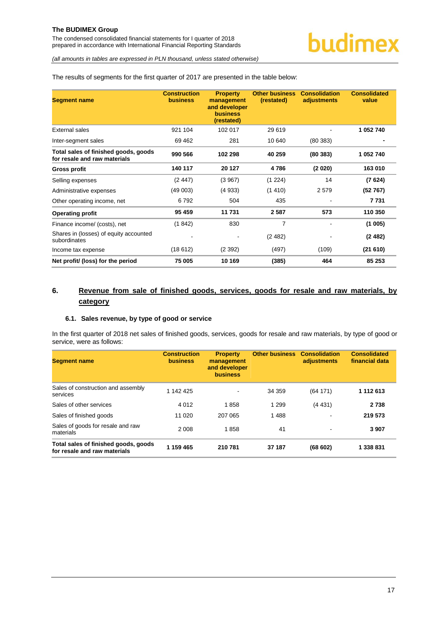The condensed consolidated financial statements for I quarter of 2018 prepared in accordance with International Financial Reporting Standards

*(all amounts in tables are expressed in PLN thousand, unless stated otherwise)*

The results of segments for the first quarter of 2017 are presented in the table below:

| <b>Segment name</b>                                                  | <b>Construction</b><br><b>business</b> | <b>Property</b><br>management<br>and developer<br><b>business</b><br>(restated) | <b>Other business</b><br>(restated) | <b>Consolidation</b><br>adjustments | <b>Consolidated</b><br>value |
|----------------------------------------------------------------------|----------------------------------------|---------------------------------------------------------------------------------|-------------------------------------|-------------------------------------|------------------------------|
| External sales                                                       | 921 104                                | 102 017                                                                         | 29 619                              |                                     | 1 052 740                    |
| Inter-segment sales                                                  | 69 4 62                                | 281                                                                             | 10 640                              | (80383)                             |                              |
| Total sales of finished goods, goods<br>for resale and raw materials | 990 566                                | 102 298                                                                         | 40 259                              | (80383)                             | 1 052 740                    |
| Gross profit                                                         | 140 117                                | 20 127                                                                          | 4786                                | (2 020)                             | 163 010                      |
| Selling expenses                                                     | (2.447)                                | (3967)                                                                          | (1 224)                             | 14                                  | (7624)                       |
| Administrative expenses                                              | (49003)                                | (4933)                                                                          | (1410)                              | 2579                                | (52767)                      |
| Other operating income, net                                          | 6792                                   | 504                                                                             | 435                                 |                                     | 7 7 3 1                      |
| <b>Operating profit</b>                                              | 95 459                                 | 11 731                                                                          | 2587                                | 573                                 | 110 350                      |
| Finance income/ (costs), net                                         | (1842)                                 | 830                                                                             | $\overline{7}$                      |                                     | (1005)                       |
| Shares in (losses) of equity accounted<br>subordinates               |                                        |                                                                                 | (2482)                              |                                     | (2482)                       |
| Income tax expense                                                   | (18612)                                | (2392)                                                                          | (497)                               | (109)                               | (21610)                      |
| Net profit/ (loss) for the period                                    | 75 005                                 | 10 169                                                                          | (385)                               | 464                                 | 85 253                       |

# <span id="page-17-0"></span>**6. Revenue from sale of finished goods, services, goods for resale and raw materials, by category**

# <span id="page-17-1"></span>**6.1. Sales revenue, by type of good or service**

In the first quarter of 2018 net sales of finished goods, services, goods for resale and raw materials, by type of good or service, were as follows:

| <b>Segment name</b>                                                  | <b>Construction</b><br><b>business</b> | <b>Property</b><br>management<br>and developer<br><b>business</b> | <b>Other business</b> | <b>Consolidation</b><br>adjustments | <b>Consolidated</b><br>financial data |
|----------------------------------------------------------------------|----------------------------------------|-------------------------------------------------------------------|-----------------------|-------------------------------------|---------------------------------------|
| Sales of construction and assembly<br>services                       | 1 142 425                              | ٠                                                                 | 34 359                | (64171)                             | 1 112 613                             |
| Sales of other services                                              | 4 0 1 2                                | 1858                                                              | 1 2 9 9               | (4431)                              | 2 7 3 8                               |
| Sales of finished goods                                              | 11 0 20                                | 207 065                                                           | 1488                  |                                     | 219 573                               |
| Sales of goods for resale and raw<br>materials                       | 2 0 0 8                                | 1858                                                              | 41                    | ٠                                   | 3 9 0 7                               |
| Total sales of finished goods, goods<br>for resale and raw materials | 1 159 465                              | 210781                                                            | 37 187                | (68602)                             | 1 338 831                             |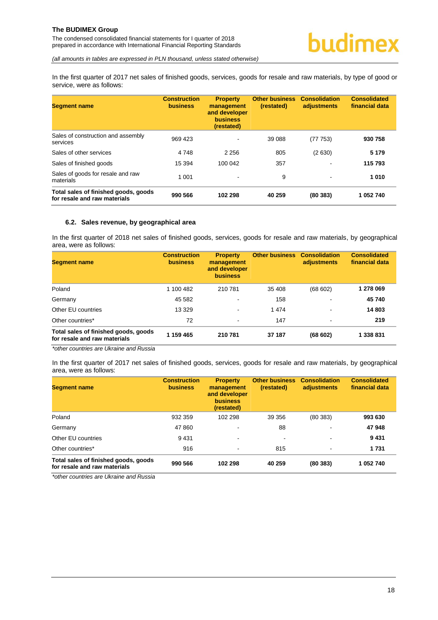The condensed consolidated financial statements for I quarter of 2018 prepared in accordance with International Financial Reporting Standards

*(all amounts in tables are expressed in PLN thousand, unless stated otherwise)*

In the first quarter of 2017 net sales of finished goods, services, goods for resale and raw materials, by type of good or service, were as follows:

| <b>Segment name</b>                                                  | <b>Construction</b><br><b>business</b> | <b>Property</b><br>management<br>and developer<br><b>business</b><br>(restated) | <b>Other business</b><br>(restated) | <b>Consolidation</b><br>adjustments | <b>Consolidated</b><br>financial data |
|----------------------------------------------------------------------|----------------------------------------|---------------------------------------------------------------------------------|-------------------------------------|-------------------------------------|---------------------------------------|
| Sales of construction and assembly<br>services                       | 969 423                                | $\overline{\phantom{a}}$                                                        | 39 088                              | (77 753)                            | 930 758                               |
| Sales of other services                                              | 4748                                   | 2 2 5 6                                                                         | 805                                 | (2630)                              | 5 1 7 9                               |
| Sales of finished goods                                              | 15 3 94                                | 100 042                                                                         | 357                                 |                                     | 115793                                |
| Sales of goods for resale and raw<br>materials                       | 1 0 0 1                                |                                                                                 | 9                                   | $\overline{\phantom{a}}$            | 1010                                  |
| Total sales of finished goods, goods<br>for resale and raw materials | 990 566                                | 102 298                                                                         | 40 259                              | (80383)                             | 1 052 740                             |

# <span id="page-18-0"></span>**6.2. Sales revenue, by geographical area**

In the first quarter of 2018 net sales of finished goods, services, goods for resale and raw materials, by geographical area, were as follows:

| <b>Segment name</b>                                                  | <b>Construction</b><br><b>business</b> | <b>Property</b><br>management<br>and developer<br><b>business</b> | <b>Other business</b> | <b>Consolidation</b><br>adjustments | <b>Consolidated</b><br>financial data |
|----------------------------------------------------------------------|----------------------------------------|-------------------------------------------------------------------|-----------------------|-------------------------------------|---------------------------------------|
| Poland                                                               | 1 100 482                              | 210 781                                                           | 35 408                | (68602)                             | 1 278 069                             |
| Germany                                                              | 45 582                                 | $\,$                                                              | 158                   | $\,$                                | 45 740                                |
| Other EU countries                                                   | 13 3 29                                | $\blacksquare$                                                    | 1474                  | $\overline{\phantom{a}}$            | 14 803                                |
| Other countries*                                                     | 72                                     | $\blacksquare$                                                    | 147                   | $\blacksquare$                      | 219                                   |
| Total sales of finished goods, goods<br>for resale and raw materials | 1 159 465                              | 210 781                                                           | 37 187                | (68602)                             | 1 338 831                             |

*\*other countries are Ukraine and Russia* 

In the first quarter of 2017 net sales of finished goods, services, goods for resale and raw materials, by geographical area, were as follows:

| <b>Segment name</b>                                                  | <b>Construction</b><br><b>business</b> | <b>Property</b><br>management<br>and developer<br><b>business</b><br>(restated) | <b>Other business</b><br>(restated) | <b>Consolidation</b><br>adjustments | <b>Consolidated</b><br>financial data |
|----------------------------------------------------------------------|----------------------------------------|---------------------------------------------------------------------------------|-------------------------------------|-------------------------------------|---------------------------------------|
| Poland                                                               | 932 359                                | 102 298                                                                         | 39 356                              | (80383)                             | 993 630                               |
| Germany                                                              | 47 860                                 | $\overline{\phantom{a}}$                                                        | 88                                  | $\overline{\phantom{a}}$            | 47948                                 |
| Other EU countries                                                   | 9431                                   | $\blacksquare$                                                                  | $\blacksquare$                      | $\overline{\phantom{a}}$            | 9431                                  |
| Other countries*                                                     | 916                                    | $\sim$                                                                          | 815                                 | $\blacksquare$                      | 1 7 3 1                               |
| Total sales of finished goods, goods<br>for resale and raw materials | 990 566                                | 102 298                                                                         | 40 259                              | (80383)                             | 1 052 740                             |

<span id="page-18-1"></span>*\*other countries are Ukraine and Russia*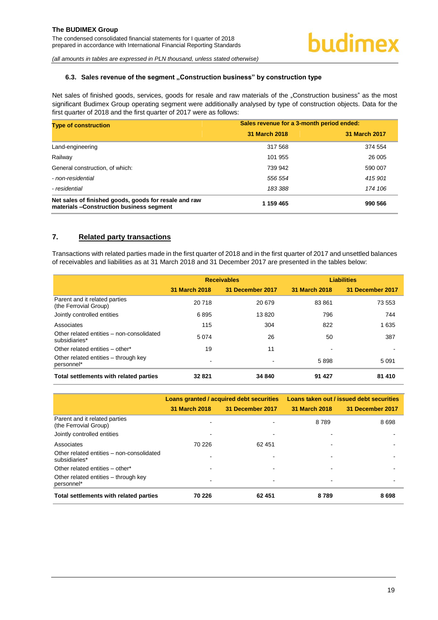# **6.3.** Sales revenue of the segment "Construction business" by construction type

Net sales of finished goods, services, goods for resale and raw materials of the "Construction business" as the most significant Budimex Group operating segment were additionally analysed by type of construction objects. Data for the first quarter of 2018 and the first quarter of 2017 were as follows:

| <b>Type of construction</b>                                                                       | Sales revenue for a 3-month period ended: |               |  |
|---------------------------------------------------------------------------------------------------|-------------------------------------------|---------------|--|
|                                                                                                   | 31 March 2018                             | 31 March 2017 |  |
| Land-engineering                                                                                  | 317 568                                   | 374 554       |  |
| Railway                                                                                           | 101 955                                   | 26 005        |  |
| General construction, of which:                                                                   | 739 942                                   | 590 007       |  |
| - non-residential                                                                                 | 556 554                                   | 415 901       |  |
| - residential                                                                                     | 183 388                                   | 174 106       |  |
| Net sales of finished goods, goods for resale and raw<br>materials -Construction business segment | 1 159 465                                 | 990 566       |  |

# <span id="page-19-0"></span>**7. Related party transactions**

Transactions with related parties made in the first quarter of 2018 and in the first quarter of 2017 and unsettled balances of receivables and liabilities as at 31 March 2018 and 31 December 2017 are presented in the tables below:

|                                                            |               | <b>Receivables</b> |               | <b>Liabilities</b> |
|------------------------------------------------------------|---------------|--------------------|---------------|--------------------|
|                                                            | 31 March 2018 | 31 December 2017   | 31 March 2018 | 31 December 2017   |
| Parent and it related parties<br>(the Ferrovial Group)     | 20718         | 20 679             | 83861         | 73 553             |
| Jointly controlled entities                                | 6895          | 13820              | 796           | 744                |
| Associates                                                 | 115           | 304                | 822           | 1635               |
| Other related entities - non-consolidated<br>subsidiaries* | 5074          | 26                 | 50            | 387                |
| Other related entities - other*                            | 19            | 11                 |               |                    |
| Other related entities – through key<br>personnel*         |               |                    | 5898          | 5 0 9 1            |
| Total settlements with related parties                     | 32 821        | 34 840             | 91 427        | 81 410             |

|                                                            |               | Loans granted / acquired debt securities | Loans taken out / issued debt securities |                  |  |
|------------------------------------------------------------|---------------|------------------------------------------|------------------------------------------|------------------|--|
|                                                            | 31 March 2018 | 31 December 2017                         | 31 March 2018                            | 31 December 2017 |  |
| Parent and it related parties<br>(the Ferrovial Group)     |               |                                          | 8 7 8 9                                  | 8698             |  |
| Jointly controlled entities                                |               | -                                        |                                          |                  |  |
| Associates                                                 | 70 226        | 62 451                                   |                                          |                  |  |
| Other related entities - non-consolidated<br>subsidiaries* |               |                                          |                                          |                  |  |
| Other related entities - other*                            |               |                                          |                                          |                  |  |
| Other related entities – through key<br>personnel*         |               |                                          | $\overline{\phantom{a}}$                 |                  |  |
| Total settlements with related parties                     | 70 226        | 62 451                                   | 8789                                     | 8698             |  |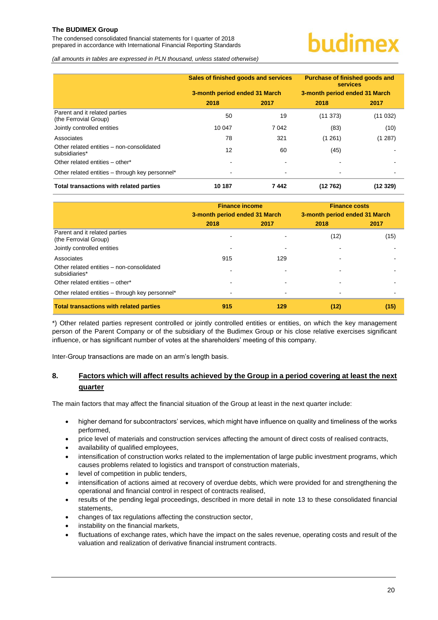The condensed consolidated financial statements for I quarter of 2018 prepared in accordance with International Financial Reporting Standards

# budimex

*(all amounts in tables are expressed in PLN thousand, unless stated otherwise)*

|                                                            | Sales of finished goods and services<br>3-month period ended 31 March |         | Purchase of finished goods and<br><b>services</b><br>3-month period ended 31 March |         |
|------------------------------------------------------------|-----------------------------------------------------------------------|---------|------------------------------------------------------------------------------------|---------|
|                                                            | 2018                                                                  | 2017    | 2018                                                                               | 2017    |
| Parent and it related parties<br>(the Ferrovial Group)     | 50                                                                    | 19      | (11373)                                                                            | (11032) |
| Jointly controlled entities                                | 10 047                                                                | 7 0 4 2 | (83)                                                                               | (10)    |
| Associates                                                 | 78                                                                    | 321     | (1261)                                                                             | (1 287) |
| Other related entities – non-consolidated<br>subsidiaries* | 12                                                                    | 60      | (45)                                                                               |         |
| Other related entities - other*                            |                                                                       |         |                                                                                    |         |
| Other related entities - through key personnel*            |                                                                       | ٠       |                                                                                    |         |
| Total transactions with related parties                    | 10 187                                                                | 7442    | (12762)                                                                            | (12329) |

|                                                            | <b>Finance income</b>         |      | <b>Finance costs</b>          |      |  |  |
|------------------------------------------------------------|-------------------------------|------|-------------------------------|------|--|--|
|                                                            | 3-month period ended 31 March |      | 3-month period ended 31 March |      |  |  |
|                                                            | 2018                          | 2017 | 2018                          | 2017 |  |  |
| Parent and it related parties<br>(the Ferrovial Group)     |                               |      | (12)                          | (15) |  |  |
| Jointly controlled entities                                |                               |      |                               |      |  |  |
| Associates                                                 | 915                           | 129  |                               |      |  |  |
| Other related entities - non-consolidated<br>subsidiaries* |                               |      |                               |      |  |  |
| Other related entities - other*                            |                               |      |                               |      |  |  |
| Other related entities - through key personnel*            |                               |      | $\blacksquare$                |      |  |  |
| <b>Total transactions with related parties</b>             | 915                           | 129  | (12)                          | (15) |  |  |

\*) Other related parties represent controlled or jointly controlled entities or entities, on which the key management person of the Parent Company or of the subsidiary of the Budimex Group or his close relative exercises significant influence, or has significant number of votes at the shareholders' meeting of this company.

Inter-Group transactions are made on an arm's length basis.

# <span id="page-20-0"></span>**8. Factors which will affect results achieved by the Group in a period covering at least the next quarter**

The main factors that may affect the financial situation of the Group at least in the next quarter include:

- higher demand for subcontractors' services, which might have influence on quality and timeliness of the works performed,
- price level of materials and construction services affecting the amount of direct costs of realised contracts,
- availability of qualified employees,
- intensification of construction works related to the implementation of large public investment programs, which causes problems related to logistics and transport of construction materials,
- level of competition in public tenders,
- intensification of actions aimed at recovery of overdue debts, which were provided for and strengthening the operational and financial control in respect of contracts realised,
- results of the pending legal proceedings, described in more detail in note [13](#page-22-3) to these consolidated financial statements,
- changes of tax regulations affecting the construction sector,
- instability on the financial markets,
- fluctuations of exchange rates, which have the impact on the sales revenue, operating costs and result of the valuation and realization of derivative financial instrument contracts.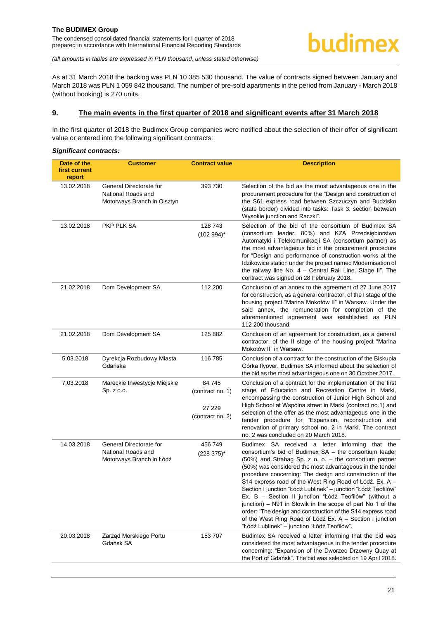As at 31 March 2018 the backlog was PLN 10 385 530 thousand. The value of contracts signed between January and March 2018 was PLN 1 059 842 thousand. The number of pre-sold apartments in the period from January - March 2018 (without booking) is 270 units.

#### <span id="page-21-0"></span>**9. The main events in the first quarter of 2018 and significant events after 31 March 2018**

In the first quarter of 2018 the Budimex Group companies were notified about the selection of their offer of significant value or entered into the following significant contracts:

#### *Significant contracts:*

| Date of the<br>first current<br>report | <b>Customer</b>                                                              | <b>Contract value</b>                                    | <b>Description</b>                                                                                                                                                                                                                                                                                                                                                                                                                                                                                                                                                                                                                                                                                                        |
|----------------------------------------|------------------------------------------------------------------------------|----------------------------------------------------------|---------------------------------------------------------------------------------------------------------------------------------------------------------------------------------------------------------------------------------------------------------------------------------------------------------------------------------------------------------------------------------------------------------------------------------------------------------------------------------------------------------------------------------------------------------------------------------------------------------------------------------------------------------------------------------------------------------------------------|
| 13.02.2018                             | General Directorate for<br>National Roads and<br>Motorways Branch in Olsztyn | 393 730                                                  | Selection of the bid as the most advantageous one in the<br>procurement procedure for the "Design and construction of<br>the S61 express road between Szczuczyn and Budzisko<br>(state border) divided into tasks: Task 3: section between<br>Wysokie junction and Raczki".                                                                                                                                                                                                                                                                                                                                                                                                                                               |
| 13.02.2018                             | PKP PLK SA                                                                   | 128 743<br>$(102994)^*$                                  | Selection of the bid of the consortium of Budimex SA<br>(consortium leader, 80%) and KZA Przedsiębiorstwo<br>Automatyki i Telekomunikacji SA (consortium partner) as<br>the most advantageous bid in the procurement procedure<br>for "Design and performance of construction works at the<br>Idzikowice station under the project named Modernisation of<br>the railway line No. 4 - Central Rail Line. Stage II". The<br>contract was signed on 28 February 2018.                                                                                                                                                                                                                                                       |
| 21.02.2018                             | Dom Development SA                                                           | 112 200                                                  | Conclusion of an annex to the agreement of 27 June 2017<br>for construction, as a general contractor, of the I stage of the<br>housing project "Marina Mokotów II" in Warsaw. Under the<br>said annex, the remuneration for completion of the<br>aforementioned agreement was established as PLN<br>112 200 thousand.                                                                                                                                                                                                                                                                                                                                                                                                     |
| 21.02.2018                             | Dom Development SA                                                           | 125 882                                                  | Conclusion of an agreement for construction, as a general<br>contractor, of the II stage of the housing project "Marina<br>Mokotów II" in Warsaw.                                                                                                                                                                                                                                                                                                                                                                                                                                                                                                                                                                         |
| 5.03.2018                              | Dyrekcja Rozbudowy Miasta<br>Gdańska                                         | 116 785                                                  | Conclusion of a contract for the construction of the Biskupia<br>Górka flyover. Budimex SA informed about the selection of<br>the bid as the most advantageous one on 30 October 2017.                                                                                                                                                                                                                                                                                                                                                                                                                                                                                                                                    |
| 7.03.2018                              | Mareckie Inwestycje Miejskie<br>Sp. z o.o.                                   | 84 745<br>(contract no. 1)<br>27 229<br>(contract no. 2) | Conclusion of a contract for the implementation of the first<br>stage of Education and Recreation Centre in Marki,<br>encompassing the construction of Junior High School and<br>High School at Wspólna street in Marki (contract no.1) and<br>selection of the offer as the most advantageous one in the<br>tender procedure for "Expansion, reconstruction and<br>renovation of primary school no. 2 in Marki. The contract<br>no. 2 was concluded on 20 March 2018.                                                                                                                                                                                                                                                    |
| 14.03.2018                             | General Directorate for<br>National Roads and<br>Motorways Branch in Łódź    | 456 749<br>$(228 375)^*$                                 | Budimex SA received a letter informing that the<br>consortium's bid of Budimex SA - the consortium leader<br>(50%) and Strabag Sp. z o. o. - the consortium partner<br>(50%) was considered the most advantageous in the tender<br>procedure concerning: The design and construction of the<br>S14 express road of the West Ring Road of Łódź. Ex. A -<br>Section I junction "Łódź Lublinek" - junction "Łódź Teofilów"<br>Ex. B - Section II junction "Łódź Teofilów" (without a<br>junction) - N91 in Słowik in the scope of part No 1 of the<br>order: "The design and construction of the S14 express road<br>of the West Ring Road of Łódź Ex. A – Section I junction<br>"Łódź Lublinek" – junction "Łódź Teofilów". |
| 20.03.2018                             | Zarząd Morskiego Portu<br>Gdańsk SA                                          | 153 707                                                  | Budimex SA received a letter informing that the bid was<br>considered the most advantageous in the tender procedure<br>concerning: "Expansion of the Dworzec Drzewny Quay at<br>the Port of Gdańsk". The bid was selected on 19 April 2018.                                                                                                                                                                                                                                                                                                                                                                                                                                                                               |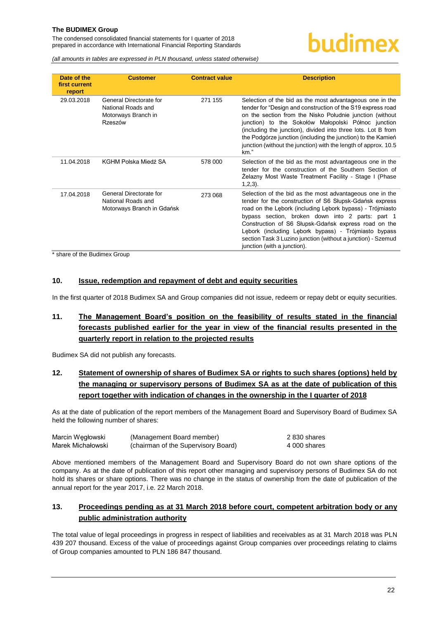The condensed consolidated financial statements for I quarter of 2018 prepared in accordance with International Financial Reporting Standards

*(all amounts in tables are expressed in PLN thousand, unless stated otherwise)*

| Date of the<br>first current<br>report | <b>Customer</b>                                                                 | <b>Contract value</b> | <b>Description</b>                                                                                                                                                                                                                                                                                                                                                                                                                                     |
|----------------------------------------|---------------------------------------------------------------------------------|-----------------------|--------------------------------------------------------------------------------------------------------------------------------------------------------------------------------------------------------------------------------------------------------------------------------------------------------------------------------------------------------------------------------------------------------------------------------------------------------|
| 29.03.2018                             | General Directorate for<br>National Roads and<br>Motorways Branch in<br>Rzeszów | 271 155               | Selection of the bid as the most advantageous one in the<br>tender for "Design and construction of the S19 express road<br>on the section from the Nisko Południe junction (without<br>junction) to the Sokołów Małopolski Północ junction<br>(including the junction), divided into three lots. Lot B from<br>the Podgórze junction (including the junction) to the Kamien<br>junction (without the junction) with the length of approx. 10.5<br>km." |
| 11.04.2018                             | KGHM Polska Miedź SA                                                            | 578 000               | Selection of the bid as the most advantageous one in the<br>tender for the construction of the Southern Section of<br>Zelazny Most Waste Treatment Facility - Stage I (Phase<br>$1,2,3$ ).                                                                                                                                                                                                                                                             |
| 17.04.2018                             | General Directorate for<br>National Roads and<br>Motorways Branch in Gdańsk     | 273 068               | Selection of the bid as the most advantageous one in the<br>tender for the construction of S6 Słupsk-Gdańsk express<br>road on the Lebork (including Lebork bypass) - Trójmiasto<br>bypass section, broken down into 2 parts: part 1<br>Construction of S6 Słupsk-Gdańsk express road on the<br>Lebork (including Lebork bypass) - Trójmiasto bypass<br>section Task 3 Luzino junction (without a junction) - Szemud<br>junction (with a junction).    |

\* share of the Budimex Group

# <span id="page-22-0"></span>**10. Issue, redemption and repayment of debt and equity securities**

In the first quarter of 2018 Budimex SA and Group companies did not issue, redeem or repay debt or equity securities.

# <span id="page-22-1"></span>**11. The Management Board's position on the feasibility of results stated in the financial forecasts published earlier for the year in view of the financial results presented in the quarterly report in relation to the projected results**

Budimex SA did not publish any forecasts.

# <span id="page-22-2"></span>**12. Statement of ownership of shares of Budimex SA or rights to such shares (options) held by the managing or supervisory persons of Budimex SA as at the date of publication of this report together with indication of changes in the ownership in the I quarter of 2018**

As at the date of publication of the report members of the Management Board and Supervisory Board of Budimex SA held the following number of shares:

| Marcin Wegłowski  | (Management Board member)           | 2 830 shares |
|-------------------|-------------------------------------|--------------|
| Marek Michałowski | (chairman of the Supervisory Board) | 4 000 shares |

Above mentioned members of the Management Board and Supervisory Board do not own share options of the company. As at the date of publication of this report other managing and supervisory persons of Budimex SA do not hold its shares or share options. There was no change in the status of ownership from the date of publication of the annual report for the year 2017, i.e. 22 March 2018.

# <span id="page-22-3"></span>**13. Proceedings pending as at 31 March 2018 before court, competent arbitration body or any public administration authority**

The total value of legal proceedings in progress in respect of liabilities and receivables as at 31 March 2018 was PLN 439 207 thousand. Excess of the value of proceedings against Group companies over proceedings relating to claims of Group companies amounted to PLN 186 847 thousand.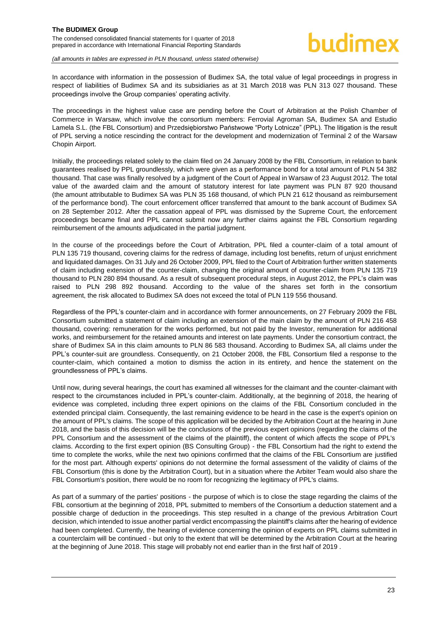In accordance with information in the possession of Budimex SA, the total value of legal proceedings in progress in respect of liabilities of Budimex SA and its subsidiaries as at 31 March 2018 was PLN 313 027 thousand. These proceedings involve the Group companies' operating activity.

The proceedings in the highest value case are pending before the Court of Arbitration at the Polish Chamber of Commerce in Warsaw, which involve the consortium members: Ferrovial Agroman SA, Budimex SA and Estudio Lamela S.L. (the FBL Consortium) and Przedsiębiorstwo Państwowe "Porty Lotnicze" (PPL). The litigation is the result of PPL serving a notice rescinding the contract for the development and modernization of Terminal 2 of the Warsaw Chopin Airport.

Initially, the proceedings related solely to the claim filed on 24 January 2008 by the FBL Consortium, in relation to bank guarantees realised by PPL groundlessly, which were given as a performance bond for a total amount of PLN 54 382 thousand. That case was finally resolved by a judgment of the Court of Appeal in Warsaw of 23 August 2012. The total value of the awarded claim and the amount of statutory interest for late payment was PLN 87 920 thousand (the amount attributable to Budimex SA was PLN 35 168 thousand, of which PLN 21 612 thousand as reimbursement of the performance bond). The court enforcement officer transferred that amount to the bank account of Budimex SA on 28 September 2012. After the cassation appeal of PPL was dismissed by the Supreme Court, the enforcement proceedings became final and PPL cannot submit now any further claims against the FBL Consortium regarding reimbursement of the amounts adjudicated in the partial judgment.

In the course of the proceedings before the Court of Arbitration, PPL filed a counter-claim of a total amount of PLN 135 719 thousand, covering claims for the redress of damage, including lost benefits, return of unjust enrichment and liquidated damages. On 31 July and 26 October 2009, PPL filed to the Court of Arbitration further written statements of claim including extension of the counter-claim, changing the original amount of counter-claim from PLN 135 719 thousand to PLN 280 894 thousand. As a result of subsequent procedural steps, in August 2012, the PPL's claim was raised to PLN 298 892 thousand. According to the value of the shares set forth in the consortium agreement, the risk allocated to Budimex SA does not exceed the total of PLN 119 556 thousand.

Regardless of the PPL's counter-claim and in accordance with former announcements, on 27 February 2009 the FBL Consortium submitted a statement of claim including an extension of the main claim by the amount of PLN 216 458 thousand, covering: remuneration for the works performed, but not paid by the Investor, remuneration for additional works, and reimbursement for the retained amounts and interest on late payments. Under the consortium contract, the share of Budimex SA in this claim amounts to PLN 86 583 thousand. According to Budimex SA, all claims under the PPL's counter-suit are groundless. Consequently, on 21 October 2008, the FBL Consortium filed a response to the counter-claim, which contained a motion to dismiss the action in its entirety, and hence the statement on the groundlessness of PPL's claims.

Until now, during several hearings, the court has examined all witnesses for the claimant and the counter-claimant with respect to the circumstances included in PPL's counter-claim. Additionally, at the beginning of 2018, the hearing of evidence was completed, including three expert opinions on the claims of the FBL Consortium concluded in the extended principal claim. Consequently, the last remaining evidence to be heard in the case is the expert's opinion on the amount of PPL's claims. The scope of this application will be decided by the Arbitration Court at the hearing in June 2018, and the basis of this decision will be the conclusions of the previous expert opinions (regarding the claims of the PPL Consortium and the assessment of the claims of the plaintiff), the content of which affects the scope of PPL's claims. According to the first expert opinion (BS Consulting Group) - the FBL Consortium had the right to extend the time to complete the works, while the next two opinions confirmed that the claims of the FBL Consortium are justified for the most part. Although experts' opinions do not determine the formal assessment of the validity of claims of the FBL Consortium (this is done by the Arbitration Court), but in a situation where the Arbiter Team would also share the FBL Consortium's position, there would be no room for recognizing the legitimacy of PPL's claims.

As part of a summary of the parties' positions - the purpose of which is to close the stage regarding the claims of the FBL consortium at the beginning of 2018, PPL submitted to members of the Consortium a deduction statement and a possible charge of deduction in the proceedings. This step resulted in a change of the previous Arbitration Court decision, which intended to issue another partial verdict encompassing the plaintiff's claims after the hearing of evidence had been completed. Currently, the hearing of evidence concerning the opinion of experts on PPL claims submitted in a counterclaim will be continued - but only to the extent that will be determined by the Arbitration Court at the hearing at the beginning of June 2018. This stage will probably not end earlier than in the first half of 2019 .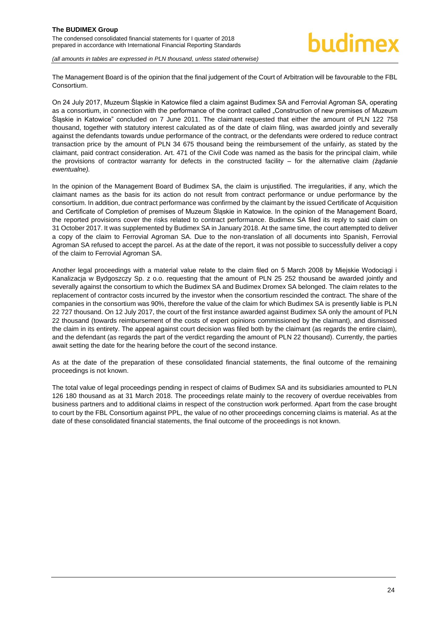The Management Board is of the opinion that the final judgement of the Court of Arbitration will be favourable to the FBL Consortium.

On 24 July 2017, Muzeum Śląskie in Katowice filed a claim against Budimex SA and Ferrovial Agroman SA, operating as a consortium, in connection with the performance of the contract called "Construction of new premises of Muzeum Śląskie in Katowice" concluded on 7 June 2011. The claimant requested that either the amount of PLN 122 758 thousand, together with statutory interest calculated as of the date of claim filing, was awarded jointly and severally against the defendants towards undue performance of the contract, or the defendants were ordered to reduce contract transaction price by the amount of PLN 34 675 thousand being the reimbursement of the unfairly, as stated by the claimant, paid contract consideration. Art. 471 of the Civil Code was named as the basis for the principal claim, while the provisions of contractor warranty for defects in the constructed facility – for the alternative claim *(żądanie ewentualne).*

In the opinion of the Management Board of Budimex SA, the claim is unjustified. The irregularities, if any, which the claimant names as the basis for its action do not result from contract performance or undue performance by the consortium. In addition, due contract performance was confirmed by the claimant by the issued Certificate of Acquisition and Certificate of Completion of premises of Muzeum Śląskie in Katowice. In the opinion of the Management Board, the reported provisions cover the risks related to contract performance. Budimex SA filed its reply to said claim on 31 October 2017. It was supplemented by Budimex SA in January 2018. At the same time, the court attempted to deliver a copy of the claim to Ferrovial Agroman SA. Due to the non-translation of all documents into Spanish, Ferrovial Agroman SA refused to accept the parcel. As at the date of the report, it was not possible to successfully deliver a copy of the claim to Ferrovial Agroman SA.

Another legal proceedings with a material value relate to the claim filed on 5 March 2008 by Miejskie Wodociągi i Kanalizacja w Bydgoszczy Sp. z o.o. requesting that the amount of PLN 25 252 thousand be awarded jointly and severally against the consortium to which the Budimex SA and Budimex Dromex SA belonged. The claim relates to the replacement of contractor costs incurred by the investor when the consortium rescinded the contract. The share of the companies in the consortium was 90%, therefore the value of the claim for which Budimex SA is presently liable is PLN 22 727 thousand. On 12 July 2017, the court of the first instance awarded against Budimex SA only the amount of PLN 22 thousand (towards reimbursement of the costs of expert opinions commissioned by the claimant), and dismissed the claim in its entirety. The appeal against court decision was filed both by the claimant (as regards the entire claim), and the defendant (as regards the part of the verdict regarding the amount of PLN 22 thousand). Currently, the parties await setting the date for the hearing before the court of the second instance.

As at the date of the preparation of these consolidated financial statements, the final outcome of the remaining proceedings is not known.

<span id="page-24-0"></span>The total value of legal proceedings pending in respect of claims of Budimex SA and its subsidiaries amounted to PLN 126 180 thousand as at 31 March 2018. The proceedings relate mainly to the recovery of overdue receivables from business partners and to additional claims in respect of the construction work performed. Apart from the case brought to court by the FBL Consortium against PPL, the value of no other proceedings concerning claims is material. As at the date of these consolidated financial statements, the final outcome of the proceedings is not known.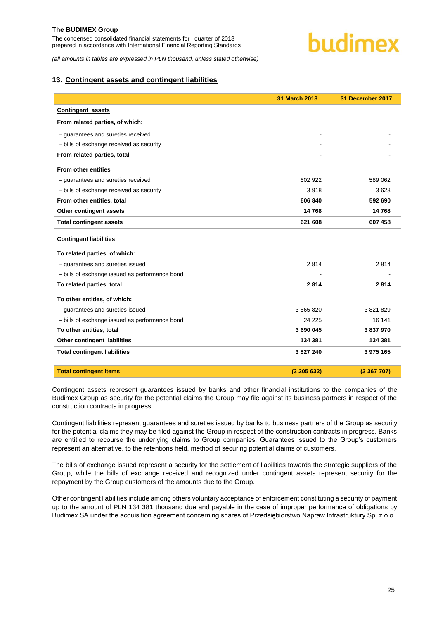#### **13. Contingent assets and contingent liabilities**

|                                                | 31 March 2018 | 31 December 2017 |
|------------------------------------------------|---------------|------------------|
| <b>Contingent assets</b>                       |               |                  |
| From related parties, of which:                |               |                  |
| - guarantees and sureties received             |               |                  |
| - bills of exchange received as security       |               |                  |
| From related parties, total                    |               |                  |
| <b>From other entities</b>                     |               |                  |
| - guarantees and sureties received             | 602 922       | 589 062          |
| - bills of exchange received as security       | 3918          | 3628             |
| From other entities, total                     | 606 840       | 592 690          |
| Other contingent assets                        | 14768         | 14768            |
| <b>Total contingent assets</b>                 | 621 608       | 607 458          |
| <b>Contingent liabilities</b>                  |               |                  |
| To related parties, of which:                  |               |                  |
| - quarantees and sureties issued               | 2814          | 2814             |
| - bills of exchange issued as performance bond |               |                  |
| To related parties, total                      | 2814          | 2814             |
| To other entities, of which:                   |               |                  |
| - quarantees and sureties issued               | 3 665 820     | 3821829          |
| - bills of exchange issued as performance bond | 24 225        | 16 141           |
| To other entities, total                       | 3 690 045     | 3837970          |
| <b>Other contingent liabilities</b>            | 134 381       | 134 381          |
| <b>Total contingent liabilities</b>            | 3 827 240     | 3 975 165        |
| <b>Total contingent items</b>                  |               |                  |

Contingent assets represent guarantees issued by banks and other financial institutions to the companies of the Budimex Group as security for the potential claims the Group may file against its business partners in respect of the construction contracts in progress.

Contingent liabilities represent guarantees and sureties issued by banks to business partners of the Group as security for the potential claims they may be filed against the Group in respect of the construction contracts in progress. Banks are entitled to recourse the underlying claims to Group companies. Guarantees issued to the Group's customers represent an alternative, to the retentions held, method of securing potential claims of customers.

The bills of exchange issued represent a security for the settlement of liabilities towards the strategic suppliers of the Group, while the bills of exchange received and recognized under contingent assets represent security for the repayment by the Group customers of the amounts due to the Group.

Other contingent liabilities include among others voluntary acceptance of enforcement constituting a security of payment up to the amount of PLN 134 381 thousand due and payable in the case of improper performance of obligations by Budimex SA under the acquisition agreement concerning shares of Przedsiębiorstwo Napraw Infrastruktury Sp. z o.o.